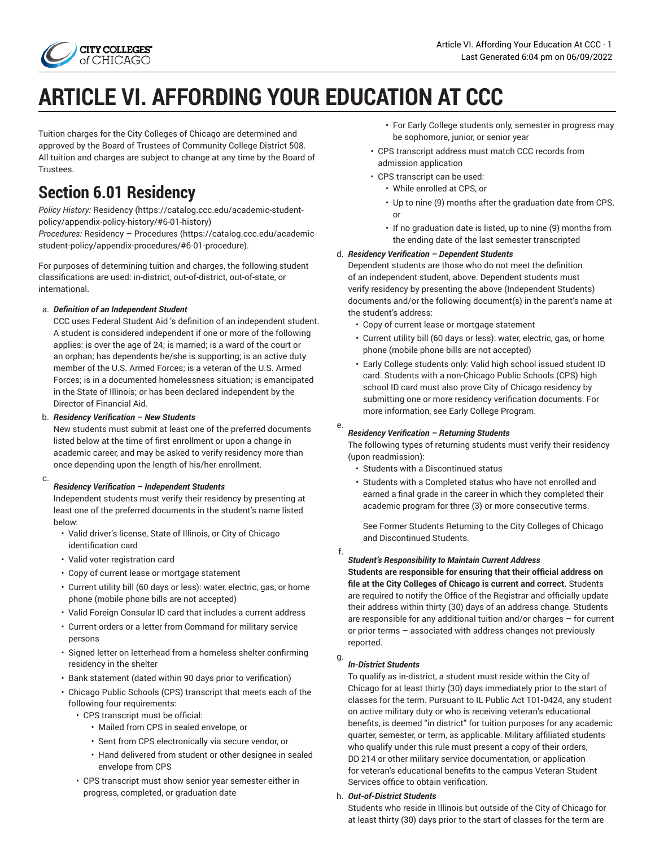

# **ARTICLE VI. AFFORDING YOUR EDUCATION AT CCC**

Tuition charges for the City Colleges of Chicago are determined and approved by the Board of Trustees of Community College District 508. All tuition and charges are subject to change at any time by the Board of Trustees.

# **Section 6.01 Residency**

*Policy History:* [Residency](https://catalog.ccc.edu/academic-student-policy/appendix-policy-history/#6-01-history) [\(https://catalog.ccc.edu/academic-student](https://catalog.ccc.edu/academic-student-policy/appendix-policy-history/#6-01-history)[policy/appendix-policy-history/#6-01-history](https://catalog.ccc.edu/academic-student-policy/appendix-policy-history/#6-01-history))

*Procedures:* Residency – [Procedures](https://catalog.ccc.edu/academic-student-policy/appendix-procedures/#6-01-procedure) [\(https://catalog.ccc.edu/academic](https://catalog.ccc.edu/academic-student-policy/appendix-procedures/#6-01-procedure)[student-policy/appendix-procedures/#6-01-procedure](https://catalog.ccc.edu/academic-student-policy/appendix-procedures/#6-01-procedure)).

For purposes of determining tuition and charges, the following student classifications are used: in-district, out-of-district, out-of-state, or international.

### a. *Definition of an Independent Student*

CCC uses Federal Student Aid 's definition of an independent student. A student is considered independent if one or more of the following applies: is over the age of 24; is married; is a ward of the court or an orphan; has dependents he/she is supporting; is an active duty member of the U.S. Armed Forces; is a veteran of the U.S. Armed Forces; is in a documented homelessness situation; is emancipated in the State of Illinois; or has been declared independent by the Director of Financial Aid.

### b. *Residency Verification – New Students*

New students must submit at least one of the preferred documents listed below at the time of first enrollment or upon a change in academic career, and may be asked to verify residency more than once depending upon the length of his/her enrollment.

#### c. *Residency Verification – Independent Students*

Independent students must verify their residency by presenting at least one of the preferred documents in the student's name listed below:

- Valid driver's license, State of Illinois, or City of Chicago identification card
- Valid voter registration card
- Copy of current lease or mortgage statement
- Current utility bill (60 days or less): water, electric, gas, or home phone (mobile phone bills are not accepted)
- Valid Foreign Consular ID card that includes a current address
- Current orders or a letter from Command for military service persons
- Signed letter on letterhead from a homeless shelter confirming residency in the shelter
- Bank statement (dated within 90 days prior to verification)
- Chicago Public Schools (CPS) transcript that meets each of the following four requirements:
	- CPS transcript must be official:
		- Mailed from CPS in sealed envelope, or
		- Sent from CPS electronically via secure vendor, or
		- Hand delivered from student or other designee in sealed envelope from CPS
	- CPS transcript must show senior year semester either in progress, completed, or graduation date
- For Early College students only, semester in progress may be sophomore, junior, or senior year
- CPS transcript address must match CCC records from admission application
- CPS transcript can be used:
	- While enrolled at CPS, or
	- Up to nine (9) months after the graduation date from CPS, or
	- If no graduation date is listed, up to nine (9) months from the ending date of the last semester transcripted

### d. *Residency Verification – Dependent Students*

Dependent students are those who do not meet the definition of an independent student, above. Dependent students must verify residency by presenting the above (Independent Students) documents and/or the following document(s) in the parent's name at the student's address:

- Copy of current lease or mortgage statement
- Current utility bill (60 days or less): water, electric, gas, or home phone (mobile phone bills are not accepted)
- Early College students only: Valid high school issued student ID card. Students with a non-Chicago Public Schools (CPS) high school ID card must also prove City of Chicago residency by submitting one or more residency verification documents. For more information, see Early College Program.

#### e. *Residency Verification – Returning Students*

The following types of returning students must verify their residency (upon readmission):

- Students with a Discontinued status
- Students with a Completed status who have not enrolled and earned a final grade in the career in which they completed their academic program for three (3) or more consecutive terms.

See Former Students Returning to the City Colleges of Chicago and Discontinued Students.

f.

### *Student's Responsibility to Maintain Current Address*

**Students are responsible for ensuring that their official address on file at the City Colleges of Chicago is current and correct.** Students are required to notify the Office of the Registrar and officially update their address within thirty (30) days of an address change. Students are responsible for any additional tuition and/or charges – for current or prior terms – associated with address changes not previously reported.

#### g. *In-District Students*

To qualify as in-district, a student must reside within the City of Chicago for at least thirty (30) days immediately prior to the start of classes for the term. Pursuant to IL Public Act 101-0424, any student on active military duty or who is receiving veteran's educational benefits, is deemed "in district" for tuition purposes for any academic quarter, semester, or term, as applicable. Military affiliated students who qualify under this rule must present a copy of their orders, DD 214 or other military service documentation, or application for veteran's educational benefits to the campus Veteran Student Services office to obtain verification.

### h. *Out-of-District Students*

Students who reside in Illinois but outside of the City of Chicago for at least thirty (30) days prior to the start of classes for the term are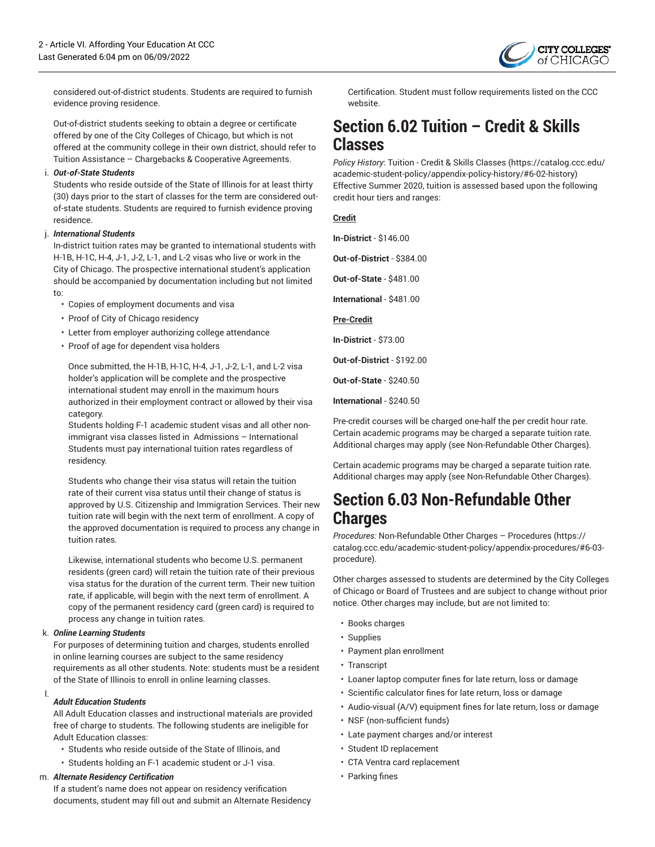

considered out-of-district students. Students are required to furnish evidence proving residence.

Out-of-district students seeking to obtain a degree or certificate offered by one of the City Colleges of Chicago, but which is not offered at the community college in their own district, should refer to Tuition Assistance – Chargebacks & Cooperative Agreements.

#### i. *Out-of-State Students*

Students who reside outside of the State of Illinois for at least thirty (30) days prior to the start of classes for the term are considered outof-state students. Students are required to furnish evidence proving residence.

#### j. *International Students*

In-district tuition rates may be granted to international students with H-1B, H-1C, H-4, J-1, J-2, L-1, and L-2 visas who live or work in the City of Chicago. The prospective international student's application should be accompanied by documentation including but not limited to:

- Copies of employment documents and visa
- Proof of City of Chicago residency
- Letter from employer authorizing college attendance
- Proof of age for dependent visa holders

Once submitted, the H-1B, H-1C, H-4, J-1, J-2, L-1, and L-2 visa holder's application will be complete and the prospective international student may enroll in the maximum hours authorized in their employment contract or allowed by their visa category.

Students holding F-1 academic student visas and all other nonimmigrant visa classes listed in Admissions – International Students must pay international tuition rates regardless of residency.

Students who change their visa status will retain the tuition rate of their current visa status until their change of status is approved by U.S. Citizenship and Immigration Services. Their new tuition rate will begin with the next term of enrollment. A copy of the approved documentation is required to process any change in tuition rates.

Likewise, international students who become U.S. permanent residents (green card) will retain the tuition rate of their previous visa status for the duration of the current term. Their new tuition rate, if applicable, will begin with the next term of enrollment. A copy of the permanent residency card (green card) is required to process any change in tuition rates.

#### k. *Online Learning Students*

For purposes of determining tuition and charges, students enrolled in online learning courses are subject to the same residency requirements as all other students. Note: students must be a resident of the State of Illinois to enroll in online learning classes.

#### l. *Adult Education Students*

All Adult Education classes and instructional materials are provided free of charge to students. The following students are ineligible for Adult Education classes:

- Students who reside outside of the State of Illinois, and
- Students holding an F-1 academic student or J-1 visa.

#### m. *Alternate Residency Certification*

If a student's name does not appear on residency verification documents, student may fill out and submit an Alternate Residency Certification. Student must follow requirements listed on the CCC website.

### **Section 6.02 Tuition – Credit & Skills Classes**

*Policy History*: Tuition - Credit & Skills [Classes](https://catalog.ccc.edu/academic-student-policy/appendix-policy-history/#6-02-history) ([https://catalog.ccc.edu/](https://catalog.ccc.edu/academic-student-policy/appendix-policy-history/#6-02-history) [academic-student-policy/appendix-policy-history/#6-02-history](https://catalog.ccc.edu/academic-student-policy/appendix-policy-history/#6-02-history)) Effective Summer 2020, tuition is assessed based upon the following credit hour tiers and ranges:

#### **Credit**

**In-District** - \$146.00

**Out-of-District** - \$384.00

**Out-of-State** - \$481.00

**International** - \$481.00

**Pre-Credit**

**In-District** - \$73.00

**Out-of-District** - \$192.00

**Out-of-State** - \$240.50

**International** - \$240.50

Pre-credit courses will be charged one-half the per credit hour rate. Certain academic programs may be charged a separate tuition rate. Additional charges may apply (see Non-Refundable Other Charges).

Certain academic programs may be charged a separate tuition rate. Additional charges may apply (see Non-Refundable Other Charges).

### **Section 6.03 Non-Refundable Other Charges**

*Procedures:* [Non-Refundable](https://catalog.ccc.edu/academic-student-policy/appendix-procedures/#6-03-procedure) Other Charges – Procedures [\(https://](https://catalog.ccc.edu/academic-student-policy/appendix-procedures/#6-03-procedure) [catalog.ccc.edu/academic-student-policy/appendix-procedures/#6-03](https://catalog.ccc.edu/academic-student-policy/appendix-procedures/#6-03-procedure) [procedure\)](https://catalog.ccc.edu/academic-student-policy/appendix-procedures/#6-03-procedure).

Other charges assessed to students are determined by the City Colleges of Chicago or Board of Trustees and are subject to change without prior notice. Other charges may include, but are not limited to:

- Books charges
- Supplies
- Payment plan enrollment
- Transcript
- Loaner laptop computer fines for late return, loss or damage
- Scientific calculator fines for late return, loss or damage
- Audio-visual (A/V) equipment fines for late return, loss or damage
- NSF (non-sufficient funds)
- Late payment charges and/or interest
- Student ID replacement
- CTA Ventra card replacement
- Parking fines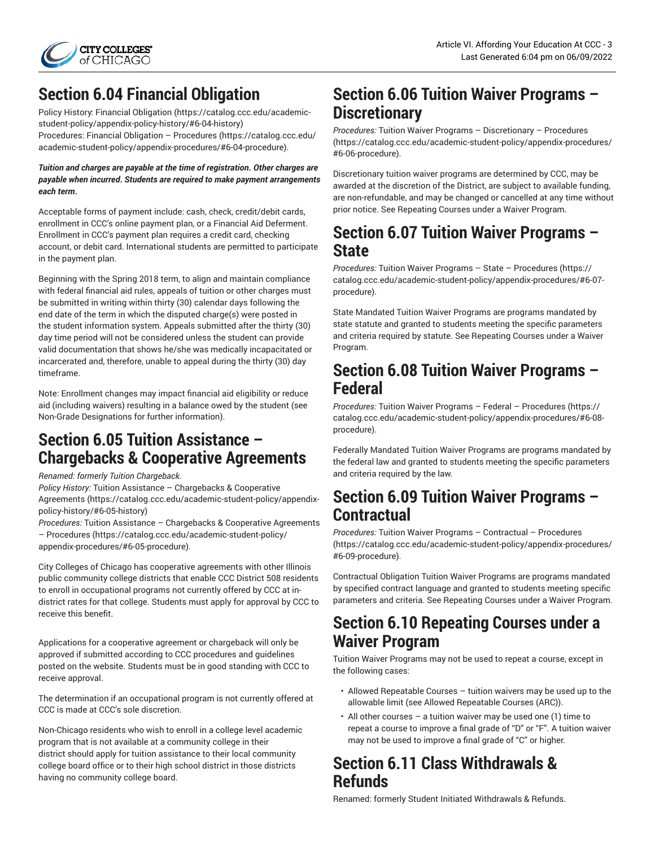

# **Section 6.04 Financial Obligation**

Policy History: [Financial Obligation \(https://catalog.ccc.edu/academic](https://catalog.ccc.edu/academic-student-policy/appendix-policy-history/#6-04-history)[student-policy/appendix-policy-history/#6-04-history\)](https://catalog.ccc.edu/academic-student-policy/appendix-policy-history/#6-04-history)

Procedures: Financial Obligation – [Procedures](https://catalog.ccc.edu/academic-student-policy/appendix-procedures/#6-04-procedure) ([https://catalog.ccc.edu/](https://catalog.ccc.edu/academic-student-policy/appendix-procedures/#6-04-procedure) [academic-student-policy/appendix-procedures/#6-04-procedure](https://catalog.ccc.edu/academic-student-policy/appendix-procedures/#6-04-procedure)).

#### *Tuition and charges are payable at the time of registration***.** *Other charges are payable when incurred***.** *Students are required to make payment arrangements each term***.**

Acceptable forms of payment include: cash, check, credit/debit cards, enrollment in CCC's online payment plan, or a Financial Aid Deferment. Enrollment in CCC's payment plan requires a credit card, checking account, or debit card. International students are permitted to participate in the payment plan.

Beginning with the Spring 2018 term, to align and maintain compliance with federal financial aid rules, appeals of tuition or other charges must be submitted in writing within thirty (30) calendar days following the end date of the term in which the disputed charge(s) were posted in the student information system. Appeals submitted after the thirty (30) day time period will not be considered unless the student can provide valid documentation that shows he/she was medically incapacitated or incarcerated and, therefore, unable to appeal during the thirty (30) day timeframe.

Note: Enrollment changes may impact financial aid eligibility or reduce aid (including waivers) resulting in a balance owed by the student (see Non-Grade Designations for further information).

### **Section 6.05 Tuition Assistance – Chargebacks & Cooperative Agreements**

*Renamed: formerly Tuition Chargeback.*

*Policy History:* Tuition Assistance – [Chargebacks](https://catalog.ccc.edu/academic-student-policy/appendix-policy-history/#6-05-history) & Cooperative [Agreements \(https://catalog.ccc.edu/academic-student-policy/appendix](https://catalog.ccc.edu/academic-student-policy/appendix-policy-history/#6-05-history)[policy-history/#6-05-history](https://catalog.ccc.edu/academic-student-policy/appendix-policy-history/#6-05-history))

*Procedures:* Tuition Assistance – [Chargebacks](https://catalog.ccc.edu/academic-student-policy/appendix-procedures/#6-05-procedure) & Cooperative Agreements – [Procedures](https://catalog.ccc.edu/academic-student-policy/appendix-procedures/#6-05-procedure) [\(https://catalog.ccc.edu/academic-student-policy/](https://catalog.ccc.edu/academic-student-policy/appendix-procedures/#6-05-procedure) [appendix-procedures/#6-05-procedure\)](https://catalog.ccc.edu/academic-student-policy/appendix-procedures/#6-05-procedure).

City Colleges of Chicago has cooperative agreements with other Illinois public community college districts that enable CCC District 508 residents to enroll in occupational programs not currently offered by CCC at indistrict rates for that college. Students must apply for approval by CCC to receive this benefit.

Applications for a cooperative agreement or chargeback will only be approved if submitted according to CCC procedures and guidelines posted on the website. Students must be in good standing with CCC to receive approval.

The determination if an occupational program is not currently offered at CCC is made at CCC's sole discretion.

Non-Chicago residents who wish to enroll in a college level academic program that is not available at a community college in their district should apply for tuition assistance to their local community college board office or to their high school district in those districts having no community college board.

## **Section 6.06 Tuition Waiver Programs – Discretionary**

*Procedures:* Tuition Waiver Programs – [Discretionary](https://catalog.ccc.edu/academic-student-policy/appendix-procedures/#6-06-procedure) – Procedures [\(https://catalog.ccc.edu/academic-student-policy/appendix-procedures/](https://catalog.ccc.edu/academic-student-policy/appendix-procedures/#6-06-procedure) [#6-06-procedure](https://catalog.ccc.edu/academic-student-policy/appendix-procedures/#6-06-procedure)).

Discretionary tuition waiver programs are determined by CCC, may be awarded at the discretion of the District, are subject to available funding, are non-refundable, and may be changed or cancelled at any time without prior notice. See Repeating Courses under a Waiver Program.

### **Section 6.07 Tuition Waiver Programs – State**

*Procedures:* Tuition Waiver Programs – State – [Procedures](https://catalog.ccc.edu/academic-student-policy/appendix-procedures/#6-07-procedure) ([https://](https://catalog.ccc.edu/academic-student-policy/appendix-procedures/#6-07-procedure) [catalog.ccc.edu/academic-student-policy/appendix-procedures/#6-07](https://catalog.ccc.edu/academic-student-policy/appendix-procedures/#6-07-procedure) [procedure\)](https://catalog.ccc.edu/academic-student-policy/appendix-procedures/#6-07-procedure).

State Mandated Tuition Waiver Programs are programs mandated by state statute and granted to students meeting the specific parameters and criteria required by statute. See Repeating Courses under a Waiver Program.

### **Section 6.08 Tuition Waiver Programs – Federal**

*Procedures:* Tuition Waiver Programs – Federal – [Procedures](https://catalog.ccc.edu/academic-student-policy/appendix-procedures/#6-08-procedure) ([https://](https://catalog.ccc.edu/academic-student-policy/appendix-procedures/#6-08-procedure) [catalog.ccc.edu/academic-student-policy/appendix-procedures/#6-08](https://catalog.ccc.edu/academic-student-policy/appendix-procedures/#6-08-procedure) [procedure\)](https://catalog.ccc.edu/academic-student-policy/appendix-procedures/#6-08-procedure).

Federally Mandated Tuition Waiver Programs are programs mandated by the federal law and granted to students meeting the specific parameters and criteria required by the law.

### **Section 6.09 Tuition Waiver Programs – Contractual**

*Procedures:* Tuition Waiver Programs – [Contractual](https://catalog.ccc.edu/academic-student-policy/appendix-procedures/#6-09-procedure) – Procedures [\(https://catalog.ccc.edu/academic-student-policy/appendix-procedures/](https://catalog.ccc.edu/academic-student-policy/appendix-procedures/#6-09-procedure) [#6-09-procedure](https://catalog.ccc.edu/academic-student-policy/appendix-procedures/#6-09-procedure)).

Contractual Obligation Tuition Waiver Programs are programs mandated by specified contract language and granted to students meeting specific parameters and criteria. See Repeating Courses under a Waiver Program.

# **Section 6.10 Repeating Courses under a Waiver Program**

Tuition Waiver Programs may not be used to repeat a course, except in the following cases:

- Allowed Repeatable Courses tuition waivers may be used up to the allowable limit (see Allowed Repeatable Courses (ARC)).
- All other courses a tuition waiver may be used one (1) time to repeat a course to improve a final grade of "D" or "F". A tuition waiver may not be used to improve a final grade of "C" or higher.

## **Section 6.11 Class Withdrawals & Refunds**

Renamed: formerly Student Initiated Withdrawals & Refunds.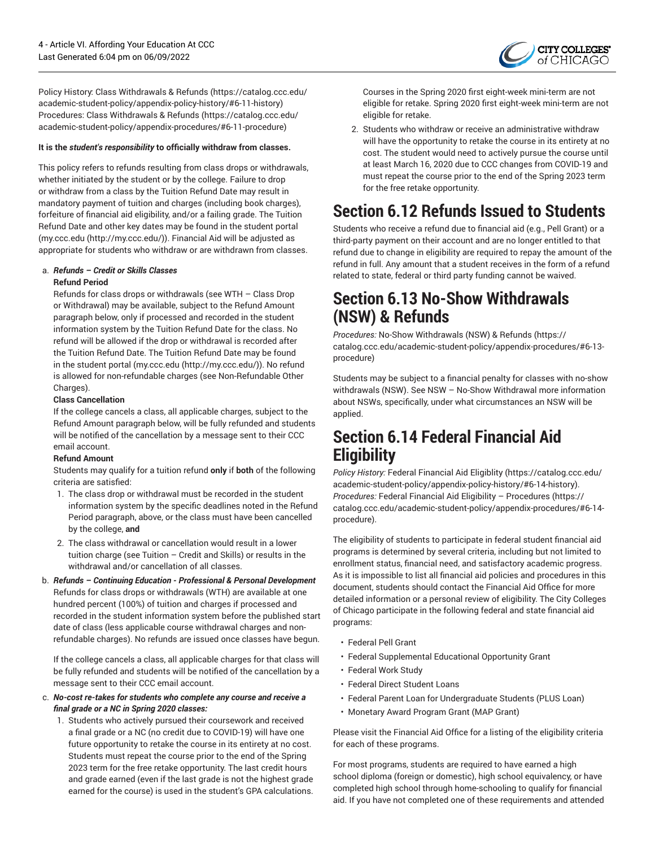

Policy History: [Class Withdrawals & Refunds \(https://catalog.ccc.edu/](https://catalog.ccc.edu/academic-student-policy/appendix-policy-history/#6-11-history) [academic-student-policy/appendix-policy-history/#6-11-history](https://catalog.ccc.edu/academic-student-policy/appendix-policy-history/#6-11-history)) Procedures: [Class Withdrawals & Refunds](https://catalog.ccc.edu/academic-student-policy/appendix-procedures/#6-11-procedure) [\(https://catalog.ccc.edu/](https://catalog.ccc.edu/academic-student-policy/appendix-procedures/#6-11-procedure) [academic-student-policy/appendix-procedures/#6-11-procedure](https://catalog.ccc.edu/academic-student-policy/appendix-procedures/#6-11-procedure))

#### **It is the** *student's responsibility* **to officially withdraw from classes.**

This policy refers to refunds resulting from class drops or withdrawals, whether initiated by the student or by the college. Failure to drop or withdraw from a class by the Tuition Refund Date may result in mandatory payment of tuition and charges (including book charges), forfeiture of financial aid eligibility, and/or a failing grade. The Tuition Refund Date and other key dates may be found in the student portal ([my.ccc.edu](http://my.ccc.edu/) (<http://my.ccc.edu/>)). Financial Aid will be adjusted as appropriate for students who withdraw or are withdrawn from classes.

#### a. *Refunds – Credit or Skills Classes*

#### **Refund Period**

Refunds for class drops or withdrawals (see WTH – Class Drop or Withdrawal) may be available, subject to the Refund Amount paragraph below, only if processed and recorded in the student information system by the Tuition Refund Date for the class. No refund will be allowed if the drop or withdrawal is recorded after the Tuition Refund Date. The Tuition Refund Date may be found in the student portal [\(my.ccc.edu](http://my.ccc.edu/) ([http://my.ccc.edu/\)](http://my.ccc.edu/)). No refund is allowed for non-refundable charges (see Non-Refundable Other Charges).

#### **Class Cancellation**

If the college cancels a class, all applicable charges, subject to the Refund Amount paragraph below, will be fully refunded and students will be notified of the cancellation by a message sent to their CCC email account.

#### **Refund Amount**

Students may qualify for a tuition refund **only** if **both** of the following criteria are satisfied:

- 1. The class drop or withdrawal must be recorded in the student information system by the specific deadlines noted in the Refund Period paragraph, above, or the class must have been cancelled by the college, **and**
- 2. The class withdrawal or cancellation would result in a lower tuition charge (see Tuition – Credit and Skills) or results in the withdrawal and/or cancellation of all classes.
- b. *Refunds – Continuing Education - Professional & Personal Development* Refunds for class drops or withdrawals (WTH) are available at one hundred percent (100%) of tuition and charges if processed and recorded in the student information system before the published start date of class (less applicable course withdrawal charges and nonrefundable charges). No refunds are issued once classes have begun.

If the college cancels a class, all applicable charges for that class will be fully refunded and students will be notified of the cancellation by a message sent to their CCC email account.

#### c. *No-cost re-takes for students who complete any course and receive a final grade or a NC in Spring 2020 classes:*

1. Students who actively pursued their coursework and received a final grade or a NC (no credit due to COVID-19) will have one future opportunity to retake the course in its entirety at no cost. Students must repeat the course prior to the end of the Spring 2023 term for the free retake opportunity. The last credit hours and grade earned (even if the last grade is not the highest grade earned for the course) is used in the student's GPA calculations.

Courses in the Spring 2020 first eight-week mini-term are not eligible for retake. Spring 2020 first eight-week mini-term are not eligible for retake.

2. Students who withdraw or receive an administrative withdraw will have the opportunity to retake the course in its entirety at no cost. The student would need to actively pursue the course until at least March 16, 2020 due to CCC changes from COVID-19 and must repeat the course prior to the end of the Spring 2023 term for the free retake opportunity.

## **Section 6.12 Refunds Issued to Students**

Students who receive a refund due to financial aid (e.g., Pell Grant) or a third-party payment on their account and are no longer entitled to that refund due to change in eligibility are required to repay the amount of the refund in full. Any amount that a student receives in the form of a refund related to state, federal or third party funding cannot be waived.

### **Section 6.13 No-Show Withdrawals (NSW) & Refunds**

*Procedures:* No-Show [Withdrawals](https://catalog.ccc.edu/academic-student-policy/appendix-procedures/#6-13-procedure) (NSW) & Refunds [\(https://](https://catalog.ccc.edu/academic-student-policy/appendix-procedures/#6-13-procedure) [catalog.ccc.edu/academic-student-policy/appendix-procedures/#6-13](https://catalog.ccc.edu/academic-student-policy/appendix-procedures/#6-13-procedure) [procedure\)](https://catalog.ccc.edu/academic-student-policy/appendix-procedures/#6-13-procedure)

Students may be subject to a financial penalty for classes with no-show withdrawals (NSW). See NSW – No-Show Withdrawal more information about NSWs, specifically, under what circumstances an NSW will be applied.

### **Section 6.14 Federal Financial Aid Eligibility**

*Policy History:* Federal [Financial](https://catalog.ccc.edu/academic-student-policy/appendix-policy-history/#6-14-history) Aid Eligiblity ([https://catalog.ccc.edu/](https://catalog.ccc.edu/academic-student-policy/appendix-policy-history/#6-14-history) [academic-student-policy/appendix-policy-history/#6-14-history](https://catalog.ccc.edu/academic-student-policy/appendix-policy-history/#6-14-history)). *Procedures:* Federal Financial Aid Eligibility – [Procedures](https://catalog.ccc.edu/academic-student-policy/appendix-procedures/#6-14-procedure) ([https://](https://catalog.ccc.edu/academic-student-policy/appendix-procedures/#6-14-procedure) [catalog.ccc.edu/academic-student-policy/appendix-procedures/#6-14](https://catalog.ccc.edu/academic-student-policy/appendix-procedures/#6-14-procedure) [procedure\)](https://catalog.ccc.edu/academic-student-policy/appendix-procedures/#6-14-procedure).

The eligibility of students to participate in federal student financial aid programs is determined by several criteria, including but not limited to enrollment status, financial need, and satisfactory academic progress. As it is impossible to list all financial aid policies and procedures in this document, students should contact the Financial Aid Office for more detailed information or a personal review of eligibility. The City Colleges of Chicago participate in the following federal and state financial aid programs:

- Federal Pell Grant
- Federal Supplemental Educational Opportunity Grant
- Federal Work Study
- Federal Direct Student Loans
- Federal Parent Loan for Undergraduate Students (PLUS Loan)
- Monetary Award Program Grant (MAP Grant)

Please visit the Financial Aid Office for a listing of the eligibility criteria for each of these programs.

For most programs, students are required to have earned a high school diploma (foreign or domestic), high school equivalency, or have completed high school through home-schooling to qualify for financial aid. If you have not completed one of these requirements and attended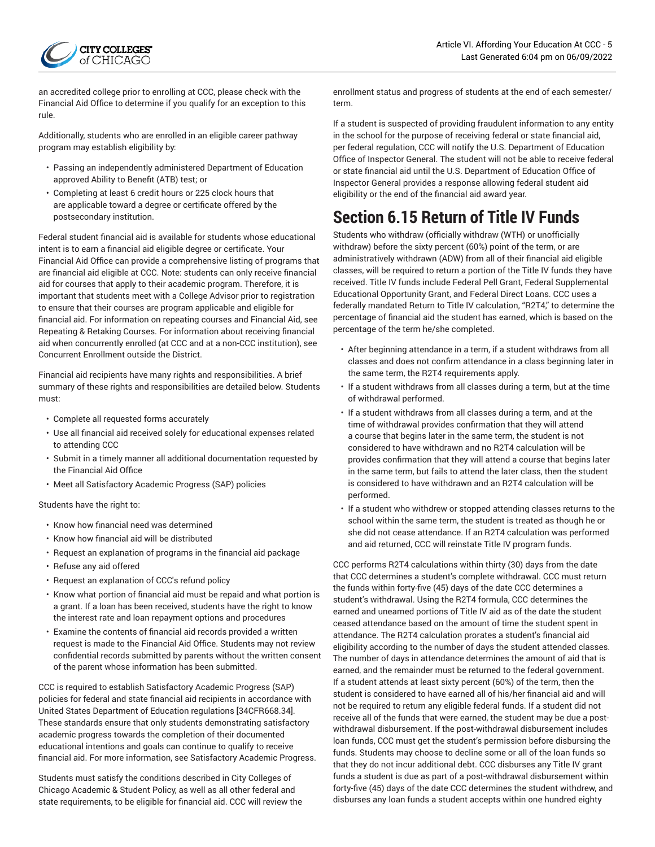

an accredited college prior to enrolling at CCC, please check with the Financial Aid Office to determine if you qualify for an exception to this rule.

Additionally, students who are enrolled in an eligible career pathway program may establish eligibility by:

- Passing an independently administered Department of Education approved Ability to Benefit (ATB) test; or
- Completing at least 6 credit hours or 225 clock hours that are applicable toward a degree or certificate offered by the postsecondary institution.

Federal student financial aid is available for students whose educational intent is to earn a financial aid eligible degree or certificate. Your Financial Aid Office can provide a comprehensive listing of programs that are financial aid eligible at CCC. Note: students can only receive financial aid for courses that apply to their academic program. Therefore, it is important that students meet with a College Advisor prior to registration to ensure that their courses are program applicable and eligible for financial aid. For information on repeating courses and Financial Aid, see Repeating & Retaking Courses. For information about receiving financial aid when concurrently enrolled (at CCC and at a non-CCC institution), see Concurrent Enrollment outside the District.

Financial aid recipients have many rights and responsibilities. A brief summary of these rights and responsibilities are detailed below. Students must:

- Complete all requested forms accurately
- Use all financial aid received solely for educational expenses related to attending CCC
- Submit in a timely manner all additional documentation requested by the Financial Aid Office
- Meet all Satisfactory Academic Progress (SAP) policies

Students have the right to:

- Know how financial need was determined
- Know how financial aid will be distributed
- Request an explanation of programs in the financial aid package
- Refuse any aid offered
- Request an explanation of CCC's refund policy
- Know what portion of financial aid must be repaid and what portion is a grant. If a loan has been received, students have the right to know the interest rate and loan repayment options and procedures
- Examine the contents of financial aid records provided a written request is made to the Financial Aid Office. Students may not review confidential records submitted by parents without the written consent of the parent whose information has been submitted.

CCC is required to establish Satisfactory Academic Progress (SAP) policies for federal and state financial aid recipients in accordance with United States Department of Education regulations [34CFR668.34]. These standards ensure that only students demonstrating satisfactory academic progress towards the completion of their documented educational intentions and goals can continue to qualify to receive financial aid. For more information, see Satisfactory Academic Progress.

Students must satisfy the conditions described in City Colleges of Chicago Academic & Student Policy, as well as all other federal and state requirements, to be eligible for financial aid. CCC will review the

enrollment status and progress of students at the end of each semester/ term.

If a student is suspected of providing fraudulent information to any entity in the school for the purpose of receiving federal or state financial aid, per federal regulation, CCC will notify the U.S. Department of Education Office of Inspector General. The student will not be able to receive federal or state financial aid until the U.S. Department of Education Office of Inspector General provides a response allowing federal student aid eligibility or the end of the financial aid award year.

# **Section 6.15 Return of Title IV Funds**

Students who withdraw (officially withdraw (WTH) or unofficially withdraw) before the sixty percent (60%) point of the term, or are administratively withdrawn (ADW) from all of their financial aid eligible classes, will be required to return a portion of the Title IV funds they have received. Title IV funds include Federal Pell Grant, Federal Supplemental Educational Opportunity Grant, and Federal Direct Loans. CCC uses a federally mandated Return to Title IV calculation, "R2T4," to determine the percentage of financial aid the student has earned, which is based on the percentage of the term he/she completed.

- After beginning attendance in a term, if a student withdraws from all classes and does not confirm attendance in a class beginning later in the same term, the R2T4 requirements apply.
- If a student withdraws from all classes during a term, but at the time of withdrawal performed.
- If a student withdraws from all classes during a term, and at the time of withdrawal provides confirmation that they will attend a course that begins later in the same term, the student is not considered to have withdrawn and no R2T4 calculation will be provides confirmation that they will attend a course that begins later in the same term, but fails to attend the later class, then the student is considered to have withdrawn and an R2T4 calculation will be performed.
- If a student who withdrew or stopped attending classes returns to the school within the same term, the student is treated as though he or she did not cease attendance. If an R2T4 calculation was performed and aid returned, CCC will reinstate Title IV program funds.

CCC performs R2T4 calculations within thirty (30) days from the date that CCC determines a student's complete withdrawal. CCC must return the funds within forty-five (45) days of the date CCC determines a student's withdrawal. Using the R2T4 formula, CCC determines the earned and unearned portions of Title IV aid as of the date the student ceased attendance based on the amount of time the student spent in attendance. The R2T4 calculation prorates a student's financial aid eligibility according to the number of days the student attended classes. The number of days in attendance determines the amount of aid that is earned, and the remainder must be returned to the federal government. If a student attends at least sixty percent (60%) of the term, then the student is considered to have earned all of his/her financial aid and will not be required to return any eligible federal funds. If a student did not receive all of the funds that were earned, the student may be due a postwithdrawal disbursement. If the post-withdrawal disbursement includes loan funds, CCC must get the student's permission before disbursing the funds. Students may choose to decline some or all of the loan funds so that they do not incur additional debt. CCC disburses any Title IV grant funds a student is due as part of a post-withdrawal disbursement within forty-five (45) days of the date CCC determines the student withdrew, and disburses any loan funds a student accepts within one hundred eighty